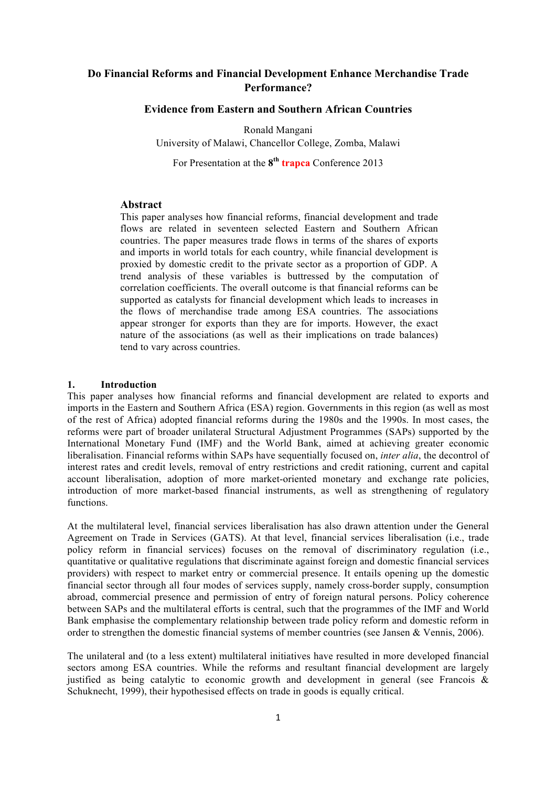# **Do Financial Reforms and Financial Development Enhance Merchandise Trade Performance?**

# **Evidence from Eastern and Southern African Countries**

Ronald Mangani

University of Malawi, Chancellor College, Zomba, Malawi

For Presentation at the **8th trapca** Conference 2013

## **Abstract**

This paper analyses how financial reforms, financial development and trade flows are related in seventeen selected Eastern and Southern African countries. The paper measures trade flows in terms of the shares of exports and imports in world totals for each country, while financial development is proxied by domestic credit to the private sector as a proportion of GDP. A trend analysis of these variables is buttressed by the computation of correlation coefficients. The overall outcome is that financial reforms can be supported as catalysts for financial development which leads to increases in the flows of merchandise trade among ESA countries. The associations appear stronger for exports than they are for imports. However, the exact nature of the associations (as well as their implications on trade balances) tend to vary across countries.

### **1. Introduction**

This paper analyses how financial reforms and financial development are related to exports and imports in the Eastern and Southern Africa (ESA) region. Governments in this region (as well as most of the rest of Africa) adopted financial reforms during the 1980s and the 1990s. In most cases, the reforms were part of broader unilateral Structural Adjustment Programmes (SAPs) supported by the International Monetary Fund (IMF) and the World Bank, aimed at achieving greater economic liberalisation. Financial reforms within SAPs have sequentially focused on, *inter alia*, the decontrol of interest rates and credit levels, removal of entry restrictions and credit rationing, current and capital account liberalisation, adoption of more market-oriented monetary and exchange rate policies, introduction of more market-based financial instruments, as well as strengthening of regulatory functions.

At the multilateral level, financial services liberalisation has also drawn attention under the General Agreement on Trade in Services (GATS). At that level, financial services liberalisation (i.e., trade policy reform in financial services) focuses on the removal of discriminatory regulation (i.e., quantitative or qualitative regulations that discriminate against foreign and domestic financial services providers) with respect to market entry or commercial presence. It entails opening up the domestic financial sector through all four modes of services supply, namely cross-border supply, consumption abroad, commercial presence and permission of entry of foreign natural persons. Policy coherence between SAPs and the multilateral efforts is central, such that the programmes of the IMF and World Bank emphasise the complementary relationship between trade policy reform and domestic reform in order to strengthen the domestic financial systems of member countries (see Jansen & Vennis, 2006).

The unilateral and (to a less extent) multilateral initiatives have resulted in more developed financial sectors among ESA countries. While the reforms and resultant financial development are largely justified as being catalytic to economic growth and development in general (see Francois & Schuknecht, 1999), their hypothesised effects on trade in goods is equally critical.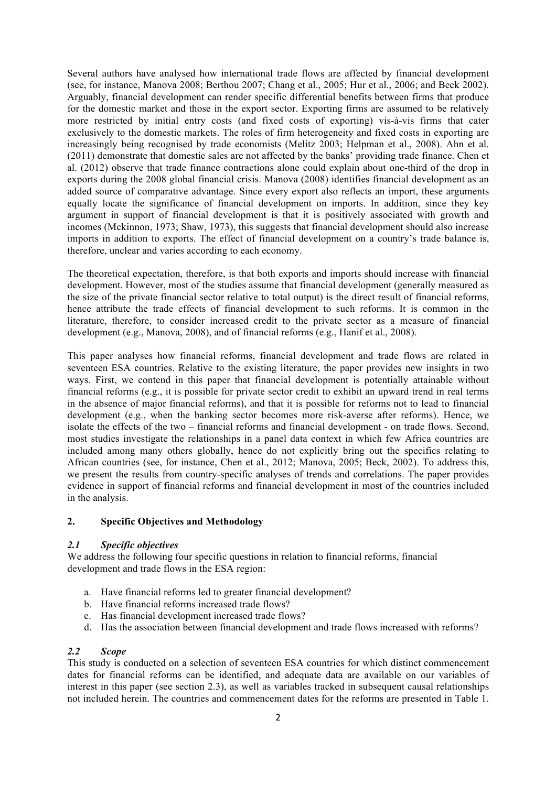Several authors have analysed how international trade flows are affected by financial development (see, for instance, Manova 2008; Berthou 2007; Chang et al., 2005; Hur et al., 2006; and Beck 2002). Arguably, financial development can render specific differential benefits between firms that produce for the domestic market and those in the export sector. Exporting firms are assumed to be relatively more restricted by initial entry costs (and fixed costs of exporting) vis-à-vis firms that cater exclusively to the domestic markets. The roles of firm heterogeneity and fixed costs in exporting are increasingly being recognised by trade economists (Melitz 2003; Helpman et al., 2008). Ahn et al. (2011) demonstrate that domestic sales are not affected by the banks' providing trade finance. Chen et al. (2012) observe that trade finance contractions alone could explain about one-third of the drop in exports during the 2008 global financial crisis. Manova (2008) identifies financial development as an added source of comparative advantage. Since every export also reflects an import, these arguments equally locate the significance of financial development on imports. In addition, since they key argument in support of financial development is that it is positively associated with growth and incomes (Mckinnon, 1973; Shaw, 1973), this suggests that financial development should also increase imports in addition to exports. The effect of financial development on a country's trade balance is, therefore, unclear and varies according to each economy.

The theoretical expectation, therefore, is that both exports and imports should increase with financial development. However, most of the studies assume that financial development (generally measured as the size of the private financial sector relative to total output) is the direct result of financial reforms, hence attribute the trade effects of financial development to such reforms. It is common in the literature, therefore, to consider increased credit to the private sector as a measure of financial development (e.g., Manova, 2008), and of financial reforms (e.g., Hanif et al., 2008).

This paper analyses how financial reforms, financial development and trade flows are related in seventeen ESA countries. Relative to the existing literature, the paper provides new insights in two ways. First, we contend in this paper that financial development is potentially attainable without financial reforms (e.g., it is possible for private sector credit to exhibit an upward trend in real terms in the absence of major financial reforms), and that it is possible for reforms not to lead to financial development (e.g., when the banking sector becomes more risk-averse after reforms). Hence, we isolate the effects of the two – financial reforms and financial development - on trade flows. Second, most studies investigate the relationships in a panel data context in which few Africa countries are included among many others globally, hence do not explicitly bring out the specifics relating to African countries (see, for instance, Chen et al., 2012; Manova, 2005; Beck, 2002). To address this, we present the results from country-specific analyses of trends and correlations. The paper provides evidence in support of financial reforms and financial development in most of the countries included in the analysis.

## **2. Specific Objectives and Methodology**

#### *2.1 Specific objectives*

We address the following four specific questions in relation to financial reforms, financial development and trade flows in the ESA region:

- a. Have financial reforms led to greater financial development?
- b. Have financial reforms increased trade flows?
- c. Has financial development increased trade flows?
- d. Has the association between financial development and trade flows increased with reforms?

# *2.2 Scope*

This study is conducted on a selection of seventeen ESA countries for which distinct commencement dates for financial reforms can be identified, and adequate data are available on our variables of interest in this paper (see section 2.3), as well as variables tracked in subsequent causal relationships not included herein. The countries and commencement dates for the reforms are presented in Table 1.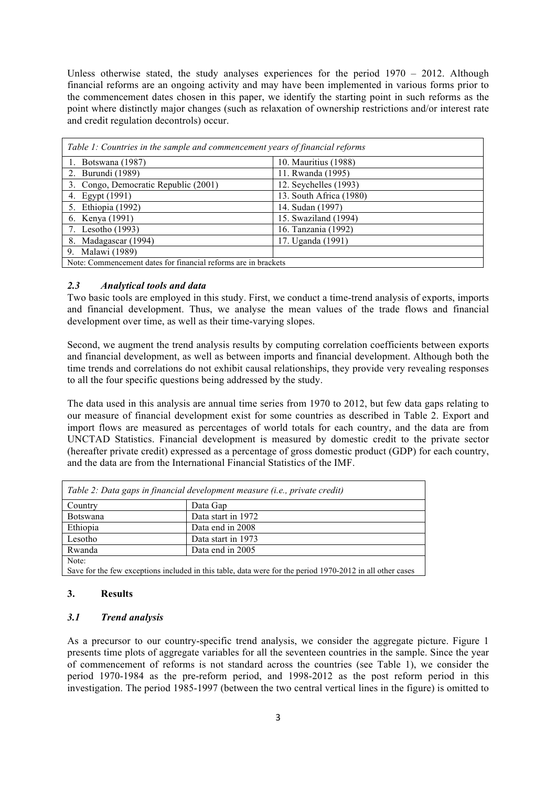Unless otherwise stated, the study analyses experiences for the period  $1970 - 2012$ . Although financial reforms are an ongoing activity and may have been implemented in various forms prior to the commencement dates chosen in this paper, we identify the starting point in such reforms as the point where distinctly major changes (such as relaxation of ownership restrictions and/or interest rate and credit regulation decontrols) occur.

| Table 1: Countries in the sample and commencement years of financial reforms |                         |  |  |  |
|------------------------------------------------------------------------------|-------------------------|--|--|--|
| 1. Botswana (1987)                                                           | 10. Mauritius (1988)    |  |  |  |
| 2. Burundi (1989)                                                            | 11. Rwanda (1995)       |  |  |  |
| 3. Congo, Democratic Republic (2001)                                         | 12. Seychelles (1993)   |  |  |  |
| 4. Egypt (1991)                                                              | 13. South Africa (1980) |  |  |  |
| 5. Ethiopia (1992)                                                           | 14. Sudan (1997)        |  |  |  |
| 6. Kenya (1991)                                                              | 15. Swaziland (1994)    |  |  |  |
| 7. Lesotho (1993)                                                            | 16. Tanzania (1992)     |  |  |  |
| 8. Madagascar (1994)                                                         | 17. Uganda (1991)       |  |  |  |
| 9. Malawi (1989)                                                             |                         |  |  |  |
| Note: Commencement dates for financial reforms are in brackets               |                         |  |  |  |

#### *2.3 Analytical tools and data*

Two basic tools are employed in this study. First, we conduct a time-trend analysis of exports, imports and financial development. Thus, we analyse the mean values of the trade flows and financial development over time, as well as their time-varying slopes.

Second, we augment the trend analysis results by computing correlation coefficients between exports and financial development, as well as between imports and financial development. Although both the time trends and correlations do not exhibit causal relationships, they provide very revealing responses to all the four specific questions being addressed by the study.

The data used in this analysis are annual time series from 1970 to 2012, but few data gaps relating to our measure of financial development exist for some countries as described in Table 2. Export and import flows are measured as percentages of world totals for each country, and the data are from UNCTAD Statistics. Financial development is measured by domestic credit to the private sector (hereafter private credit) expressed as a percentage of gross domestic product (GDP) for each country, and the data are from the International Financial Statistics of the IMF.

| Table 2: Data gaps in financial development measure (i.e., private credit)                                |                    |  |  |  |  |
|-----------------------------------------------------------------------------------------------------------|--------------------|--|--|--|--|
| Country                                                                                                   | Data Gap           |  |  |  |  |
| <b>Botswana</b>                                                                                           | Data start in 1972 |  |  |  |  |
| Ethiopia                                                                                                  | Data end in 2008   |  |  |  |  |
| Lesotho                                                                                                   | Data start in 1973 |  |  |  |  |
| Rwanda                                                                                                    | Data end in 2005   |  |  |  |  |
| Note:                                                                                                     |                    |  |  |  |  |
| Save for the few exceptions included in this table, data were for the period 1970-2012 in all other cases |                    |  |  |  |  |

### **3. Results**

### *3.1 Trend analysis*

As a precursor to our country-specific trend analysis, we consider the aggregate picture. Figure 1 presents time plots of aggregate variables for all the seventeen countries in the sample. Since the year of commencement of reforms is not standard across the countries (see Table 1), we consider the period 1970-1984 as the pre-reform period, and 1998-2012 as the post reform period in this investigation. The period 1985-1997 (between the two central vertical lines in the figure) is omitted to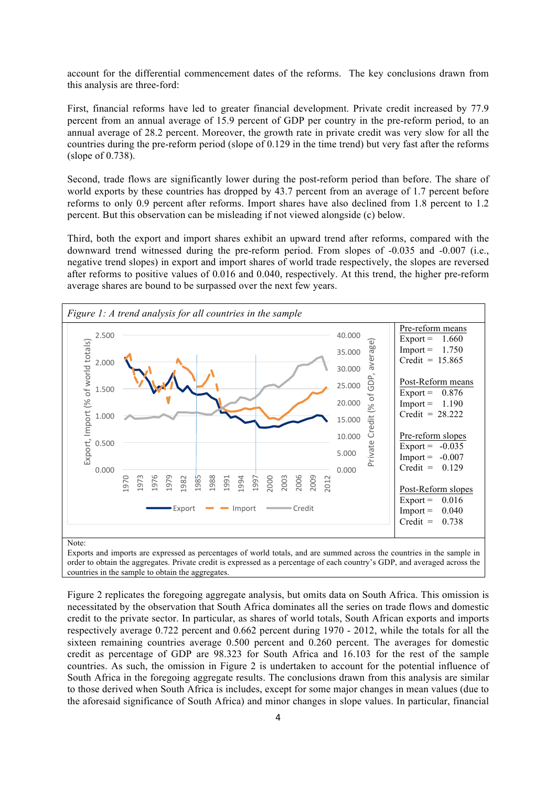account for the differential commencement dates of the reforms. The key conclusions drawn from this analysis are three-ford:

First, financial reforms have led to greater financial development. Private credit increased by 77.9 percent from an annual average of 15.9 percent of GDP per country in the pre-reform period, to an annual average of 28.2 percent. Moreover, the growth rate in private credit was very slow for all the countries during the pre-reform period (slope of 0.129 in the time trend) but very fast after the reforms (slope of 0.738).

Second, trade flows are significantly lower during the post-reform period than before. The share of world exports by these countries has dropped by 43.7 percent from an average of 1.7 percent before reforms to only 0.9 percent after reforms. Import shares have also declined from 1.8 percent to 1.2 percent. But this observation can be misleading if not viewed alongside (c) below.

Third, both the export and import shares exhibit an upward trend after reforms, compared with the downward trend witnessed during the pre-reform period. From slopes of -0.035 and -0.007 (i.e., negative trend slopes) in export and import shares of world trade respectively, the slopes are reversed after reforms to positive values of 0.016 and 0.040, respectively. At this trend, the higher pre-reform average shares are bound to be surpassed over the next few years.



Exports and imports are expressed as percentages of world totals, and are summed across the countries in the sample in order to obtain the aggregates. Private credit is expressed as a percentage of each country's GDP, and averaged across the countries in the sample to obtain the aggregates.

Figure 2 replicates the foregoing aggregate analysis, but omits data on South Africa. This omission is necessitated by the observation that South Africa dominates all the series on trade flows and domestic credit to the private sector. In particular, as shares of world totals, South African exports and imports respectively average 0.722 percent and 0.662 percent during 1970 - 2012, while the totals for all the sixteen remaining countries average 0.500 percent and 0.260 percent. The averages for domestic credit as percentage of GDP are 98.323 for South Africa and 16.103 for the rest of the sample countries. As such, the omission in Figure 2 is undertaken to account for the potential influence of South Africa in the foregoing aggregate results. The conclusions drawn from this analysis are similar to those derived when South Africa is includes, except for some major changes in mean values (due to the aforesaid significance of South Africa) and minor changes in slope values. In particular, financial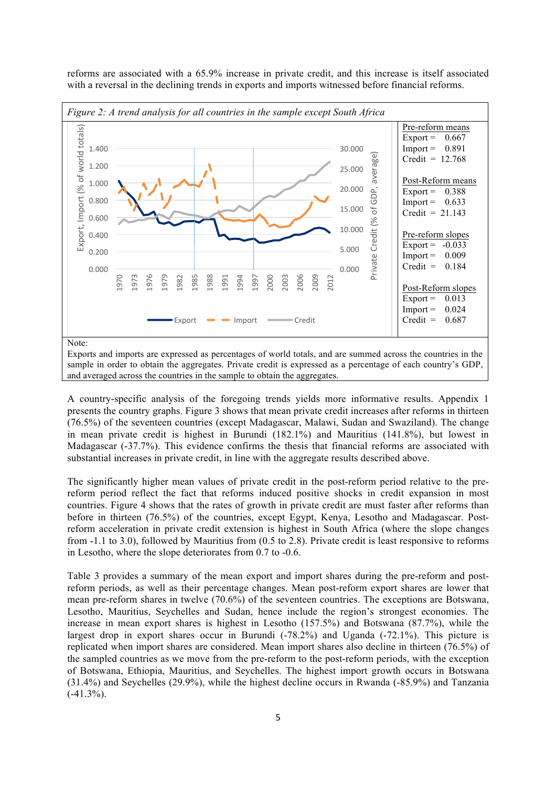reforms are associated with a 65.9% increase in private credit, and this increase is itself associated with a reversal in the declining trends in exports and imports witnessed before financial reforms.



A country-specific analysis of the foregoing trends yields more informative results. Appendix 1 presents the country graphs. Figure 3 shows that mean private credit increases after reforms in thirteen

(76.5%) of the seventeen countries (except Madagascar, Malawi, Sudan and Swaziland). The change in mean private credit is highest in Burundi (182.1%) and Mauritius (141.8%), but lowest in Madagascar (-37.7%). This evidence confirms the thesis that financial reforms are associated with substantial increases in private credit, in line with the aggregate results described above.

The significantly higher mean values of private credit in the post-reform period relative to the prereform period reflect the fact that reforms induced positive shocks in credit expansion in most countries. Figure 4 shows that the rates of growth in private credit are must faster after reforms than before in thirteen (76.5%) of the countries, except Egypt, Kenya, Lesotho and Madagascar. Postreform acceleration in private credit extension is highest in South Africa (where the slope changes from -1.1 to 3.0), followed by Mauritius from (0.5 to 2.8). Private credit is least responsive to reforms in Lesotho, where the slope deteriorates from 0.7 to -0.6.

Table 3 provides a summary of the mean export and import shares during the pre-reform and postreform periods, as well as their percentage changes. Mean post-reform export shares are lower that mean pre-reform shares in twelve (70.6%) of the seventeen countries. The exceptions are Botswana, Lesotho, Mauritius, Seychelles and Sudan, hence include the region's strongest economies. The increase in mean export shares is highest in Lesotho (157.5%) and Botswana (87.7%), while the largest drop in export shares occur in Burundi (-78.2%) and Uganda (-72.1%). This picture is replicated when import shares are considered. Mean import shares also decline in thirteen (76.5%) of the sampled countries as we move from the pre-reform to the post-reform periods, with the exception of Botswana, Ethiopia, Mauritius, and Seychelles. The highest import growth occurs in Botswana (31.4%) and Seychelles (29.9%), while the highest decline occurs in Rwanda (-85.9%) and Tanzania  $(-41.3\%)$ .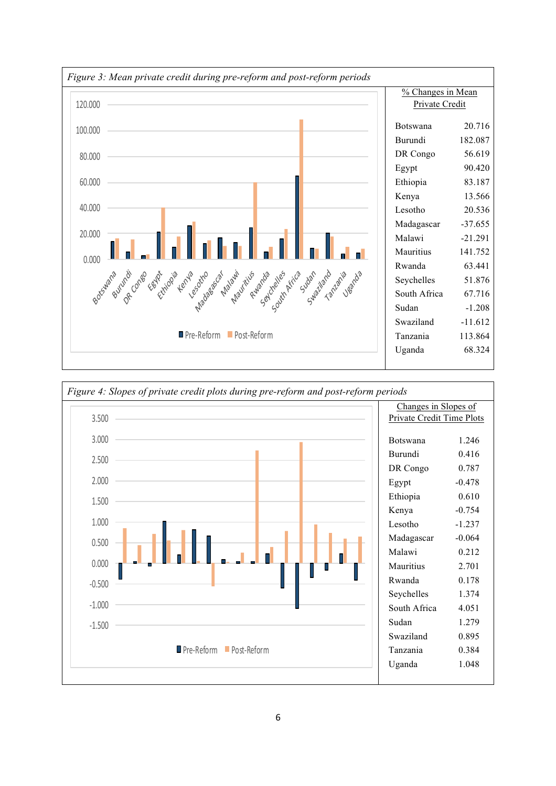

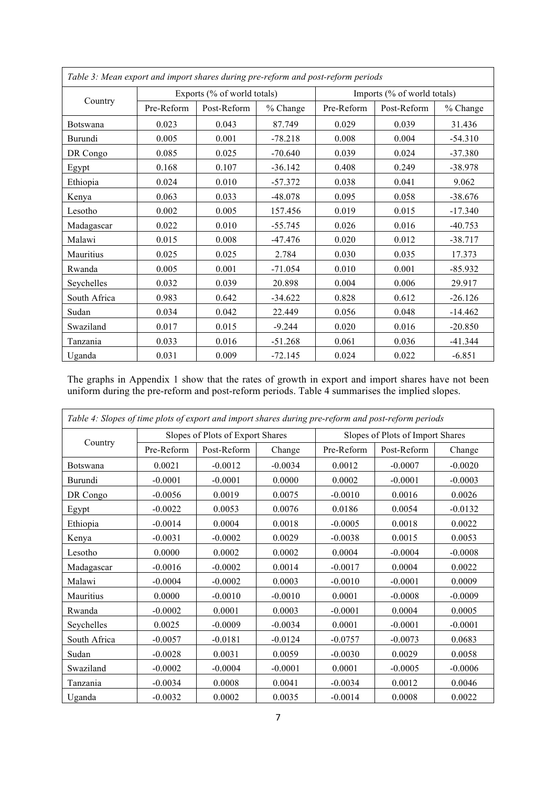| Table 3: Mean export and import shares during pre-reform and post-reform periods |                             |             |           |                             |             |           |
|----------------------------------------------------------------------------------|-----------------------------|-------------|-----------|-----------------------------|-------------|-----------|
| Country                                                                          | Exports (% of world totals) |             |           | Imports (% of world totals) |             |           |
|                                                                                  | Pre-Reform                  | Post-Reform | % Change  | Pre-Reform                  | Post-Reform | % Change  |
| Botswana                                                                         | 0.023                       | 0.043       | 87.749    | 0.029                       | 0.039       | 31.436    |
| Burundi                                                                          | 0.005                       | 0.001       | $-78.218$ | 0.008                       | 0.004       | $-54.310$ |
| DR Congo                                                                         | 0.085                       | 0.025       | $-70.640$ | 0.039                       | 0.024       | $-37.380$ |
| Egypt                                                                            | 0.168                       | 0.107       | $-36.142$ | 0.408                       | 0.249       | $-38.978$ |
| Ethiopia                                                                         | 0.024                       | 0.010       | $-57.372$ | 0.038                       | 0.041       | 9.062     |
| Kenya                                                                            | 0.063                       | 0.033       | $-48.078$ | 0.095                       | 0.058       | $-38.676$ |
| Lesotho                                                                          | 0.002                       | 0.005       | 157.456   | 0.019                       | 0.015       | $-17.340$ |
| Madagascar                                                                       | 0.022                       | 0.010       | $-55.745$ | 0.026                       | 0.016       | $-40.753$ |
| Malawi                                                                           | 0.015                       | 0.008       | $-47.476$ | 0.020                       | 0.012       | $-38.717$ |
| Mauritius                                                                        | 0.025                       | 0.025       | 2.784     | 0.030                       | 0.035       | 17.373    |
| Rwanda                                                                           | 0.005                       | 0.001       | $-71.054$ | 0.010                       | 0.001       | $-85.932$ |
| Seychelles                                                                       | 0.032                       | 0.039       | 20.898    | 0.004                       | 0.006       | 29.917    |
| South Africa                                                                     | 0.983                       | 0.642       | $-34.622$ | 0.828                       | 0.612       | $-26.126$ |
| Sudan                                                                            | 0.034                       | 0.042       | 22.449    | 0.056                       | 0.048       | $-14.462$ |
| Swaziland                                                                        | 0.017                       | 0.015       | $-9.244$  | 0.020                       | 0.016       | $-20.850$ |
| Tanzania                                                                         | 0.033                       | 0.016       | $-51.268$ | 0.061                       | 0.036       | $-41.344$ |
| Uganda                                                                           | 0.031                       | 0.009       | $-72.145$ | 0.024                       | 0.022       | $-6.851$  |

The graphs in Appendix 1 show that the rates of growth in export and import shares have not been uniform during the pre-reform and post-reform periods. Table 4 summarises the implied slopes.

| Table 4: Slopes of time plots of export and import shares during pre-reform and post-reform periods |                                  |             |           |                                  |             |           |
|-----------------------------------------------------------------------------------------------------|----------------------------------|-------------|-----------|----------------------------------|-------------|-----------|
| Country                                                                                             | Slopes of Plots of Export Shares |             |           | Slopes of Plots of Import Shares |             |           |
|                                                                                                     | Pre-Reform                       | Post-Reform | Change    | Pre-Reform                       | Post-Reform | Change    |
| Botswana                                                                                            | 0.0021                           | $-0.0012$   | $-0.0034$ | 0.0012                           | $-0.0007$   | $-0.0020$ |
| Burundi                                                                                             | $-0.0001$                        | $-0.0001$   | 0.0000    | 0.0002                           | $-0.0001$   | $-0.0003$ |
| DR Congo                                                                                            | $-0.0056$                        | 0.0019      | 0.0075    | $-0.0010$                        | 0.0016      | 0.0026    |
| Egypt                                                                                               | $-0.0022$                        | 0.0053      | 0.0076    | 0.0186                           | 0.0054      | $-0.0132$ |
| Ethiopia                                                                                            | $-0.0014$                        | 0.0004      | 0.0018    | $-0.0005$                        | 0.0018      | 0.0022    |
| Kenya                                                                                               | $-0.0031$                        | $-0.0002$   | 0.0029    | $-0.0038$                        | 0.0015      | 0.0053    |
| Lesotho                                                                                             | 0.0000                           | 0.0002      | 0.0002    | 0.0004                           | $-0.0004$   | $-0.0008$ |
| Madagascar                                                                                          | $-0.0016$                        | $-0.0002$   | 0.0014    | $-0.0017$                        | 0.0004      | 0.0022    |
| Malawi                                                                                              | $-0.0004$                        | $-0.0002$   | 0.0003    | $-0.0010$                        | $-0.0001$   | 0.0009    |
| Mauritius                                                                                           | 0.0000                           | $-0.0010$   | $-0.0010$ | 0.0001                           | $-0.0008$   | $-0.0009$ |
| Rwanda                                                                                              | $-0.0002$                        | 0.0001      | 0.0003    | $-0.0001$                        | 0.0004      | 0.0005    |
| Seychelles                                                                                          | 0.0025                           | $-0.0009$   | $-0.0034$ | 0.0001                           | $-0.0001$   | $-0.0001$ |
| South Africa                                                                                        | $-0.0057$                        | $-0.0181$   | $-0.0124$ | $-0.0757$                        | $-0.0073$   | 0.0683    |
| Sudan                                                                                               | $-0.0028$                        | 0.0031      | 0.0059    | $-0.0030$                        | 0.0029      | 0.0058    |
| Swaziland                                                                                           | $-0.0002$                        | $-0.0004$   | $-0.0001$ | 0.0001                           | $-0.0005$   | $-0.0006$ |
| Tanzania                                                                                            | $-0.0034$                        | 0.0008      | 0.0041    | $-0.0034$                        | 0.0012      | 0.0046    |
| Uganda                                                                                              | $-0.0032$                        | 0.0002      | 0.0035    | $-0.0014$                        | 0.0008      | 0.0022    |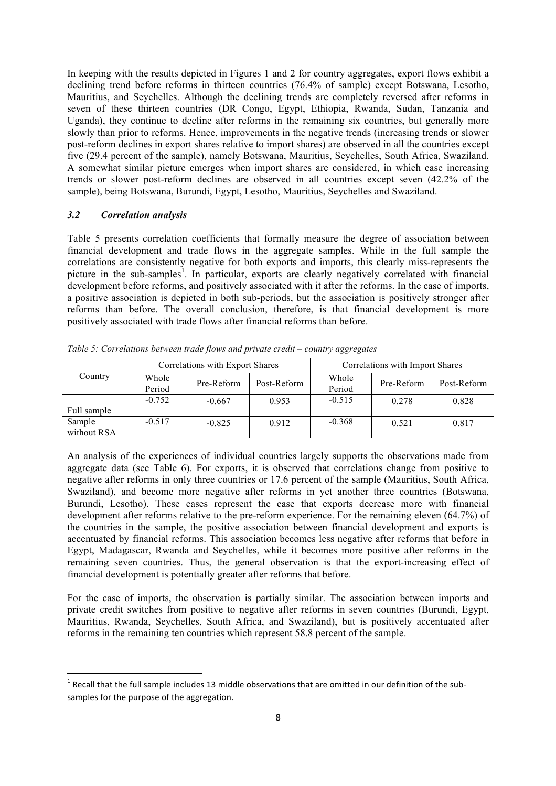In keeping with the results depicted in Figures 1 and 2 for country aggregates, export flows exhibit a declining trend before reforms in thirteen countries (76.4% of sample) except Botswana, Lesotho, Mauritius, and Seychelles. Although the declining trends are completely reversed after reforms in seven of these thirteen countries (DR Congo, Egypt, Ethiopia, Rwanda, Sudan, Tanzania and Uganda), they continue to decline after reforms in the remaining six countries, but generally more slowly than prior to reforms. Hence, improvements in the negative trends (increasing trends or slower post-reform declines in export shares relative to import shares) are observed in all the countries except five (29.4 percent of the sample), namely Botswana, Mauritius, Seychelles, South Africa, Swaziland. A somewhat similar picture emerges when import shares are considered, in which case increasing trends or slower post-reform declines are observed in all countries except seven (42.2% of the sample), being Botswana, Burundi, Egypt, Lesotho, Mauritius, Seychelles and Swaziland.

### *3.2 Correlation analysis*

<u> 1989 - Jan Samuel Barbara, margaret e</u>

Table 5 presents correlation coefficients that formally measure the degree of association between financial development and trade flows in the aggregate samples. While in the full sample the correlations are consistently negative for both exports and imports, this clearly miss-represents the picture in the sub-samples<sup>1</sup>. In particular, exports are clearly negatively correlated with financial development before reforms, and positively associated with it after the reforms. In the case of imports, a positive association is depicted in both sub-periods, but the association is positively stronger after reforms than before. The overall conclusion, therefore, is that financial development is more positively associated with trade flows after financial reforms than before.

| Table 5: Correlations between trade flows and private credit – country aggregates |                                 |            |             |                                 |            |             |
|-----------------------------------------------------------------------------------|---------------------------------|------------|-------------|---------------------------------|------------|-------------|
|                                                                                   | Correlations with Export Shares |            |             | Correlations with Import Shares |            |             |
| Country                                                                           | Whole<br>Period                 | Pre-Reform | Post-Reform | Whole<br>Period                 | Pre-Reform | Post-Reform |
| Full sample                                                                       | $-0.752$                        | $-0.667$   | 0.953       | $-0.515$                        | 0.278      | 0.828       |
| Sample<br>without RSA                                                             | $-0.517$                        | $-0.825$   | 0.912       | $-0.368$                        | 0.521      | 0.817       |

An analysis of the experiences of individual countries largely supports the observations made from aggregate data (see Table 6). For exports, it is observed that correlations change from positive to negative after reforms in only three countries or 17.6 percent of the sample (Mauritius, South Africa, Swaziland), and become more negative after reforms in yet another three countries (Botswana, Burundi, Lesotho). These cases represent the case that exports decrease more with financial development after reforms relative to the pre-reform experience. For the remaining eleven (64.7%) of the countries in the sample, the positive association between financial development and exports is accentuated by financial reforms. This association becomes less negative after reforms that before in Egypt, Madagascar, Rwanda and Seychelles, while it becomes more positive after reforms in the remaining seven countries. Thus, the general observation is that the export-increasing effect of financial development is potentially greater after reforms that before.

For the case of imports, the observation is partially similar. The association between imports and private credit switches from positive to negative after reforms in seven countries (Burundi, Egypt, Mauritius, Rwanda, Seychelles, South Africa, and Swaziland), but is positively accentuated after reforms in the remaining ten countries which represent 58.8 percent of the sample.

 $1$  Recall that the full sample includes 13 middle observations that are omitted in our definition of the subsamples for the purpose of the aggregation.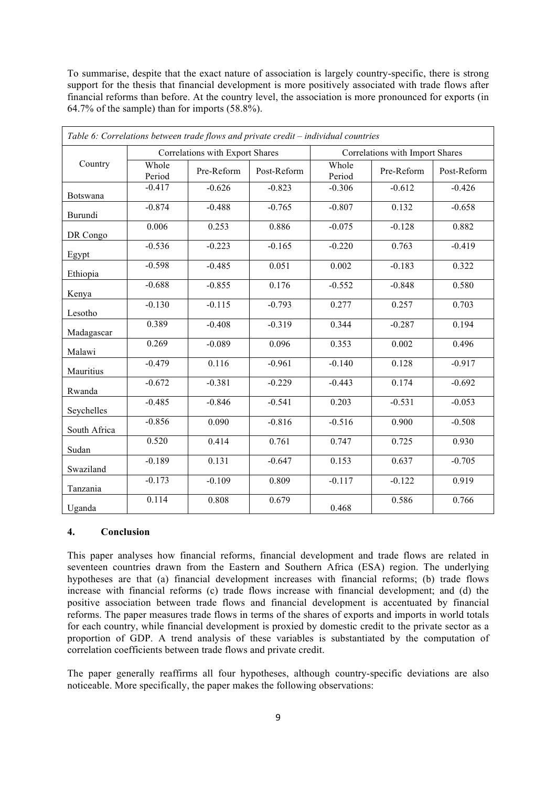To summarise, despite that the exact nature of association is largely country-specific, there is strong support for the thesis that financial development is more positively associated with trade flows after financial reforms than before. At the country level, the association is more pronounced for exports (in 64.7% of the sample) than for imports (58.8%).

|              |                                 | Table 6: Correlations between trade flows and private credit - individual countries |             |                                 |            |             |
|--------------|---------------------------------|-------------------------------------------------------------------------------------|-------------|---------------------------------|------------|-------------|
|              | Correlations with Export Shares |                                                                                     |             | Correlations with Import Shares |            |             |
| Country      | Whole<br>Period                 | Pre-Reform                                                                          | Post-Reform | Whole<br>Period                 | Pre-Reform | Post-Reform |
| Botswana     | $-0.417$                        | $-0.626$                                                                            | $-0.823$    | $-0.306$                        | $-0.612$   | $-0.426$    |
| Burundi      | $-0.874$                        | $-0.488$                                                                            | $-0.765$    | $-0.807$                        | 0.132      | $-0.658$    |
| DR Congo     | 0.006                           | 0.253                                                                               | 0.886       | $-0.075$                        | $-0.128$   | 0.882       |
| Egypt        | $-0.536$                        | $-0.223$                                                                            | $-0.165$    | $-0.220$                        | 0.763      | $-0.419$    |
| Ethiopia     | $-0.598$                        | $-0.485$                                                                            | 0.051       | 0.002                           | $-0.183$   | 0.322       |
| Kenya        | $-0.688$                        | $-0.855$                                                                            | 0.176       | $-0.552$                        | $-0.848$   | 0.580       |
| Lesotho      | $-0.130$                        | $-0.115$                                                                            | $-0.793$    | 0.277                           | 0.257      | 0.703       |
| Madagascar   | 0.389                           | $-0.408$                                                                            | $-0.319$    | 0.344                           | $-0.287$   | 0.194       |
| Malawi       | 0.269                           | $-0.089$                                                                            | 0.096       | 0.353                           | 0.002      | 0.496       |
| Mauritius    | $-0.479$                        | 0.116                                                                               | $-0.961$    | $-0.140$                        | 0.128      | $-0.917$    |
| Rwanda       | $-0.672$                        | $-0.381$                                                                            | $-0.229$    | $-0.443$                        | 0.174      | $-0.692$    |
| Seychelles   | $-0.485$                        | $-0.846$                                                                            | $-0.541$    | 0.203                           | $-0.531$   | $-0.053$    |
| South Africa | $-0.856$                        | 0.090                                                                               | $-0.816$    | $-0.516$                        | 0.900      | $-0.508$    |
| Sudan        | 0.520                           | 0.414                                                                               | 0.761       | 0.747                           | 0.725      | 0.930       |
| Swaziland    | $-0.189$                        | 0.131                                                                               | $-0.647$    | 0.153                           | 0.637      | $-0.705$    |
| Tanzania     | $-0.173$                        | $-0.109$                                                                            | 0.809       | $-0.117$                        | $-0.122$   | 0.919       |
| Uganda       | 0.114                           | 0.808                                                                               | 0.679       | 0.468                           | 0.586      | 0.766       |

#### **4. Conclusion**

This paper analyses how financial reforms, financial development and trade flows are related in seventeen countries drawn from the Eastern and Southern Africa (ESA) region. The underlying hypotheses are that (a) financial development increases with financial reforms; (b) trade flows increase with financial reforms (c) trade flows increase with financial development; and (d) the positive association between trade flows and financial development is accentuated by financial reforms. The paper measures trade flows in terms of the shares of exports and imports in world totals for each country, while financial development is proxied by domestic credit to the private sector as a proportion of GDP. A trend analysis of these variables is substantiated by the computation of correlation coefficients between trade flows and private credit.

The paper generally reaffirms all four hypotheses, although country-specific deviations are also noticeable. More specifically, the paper makes the following observations: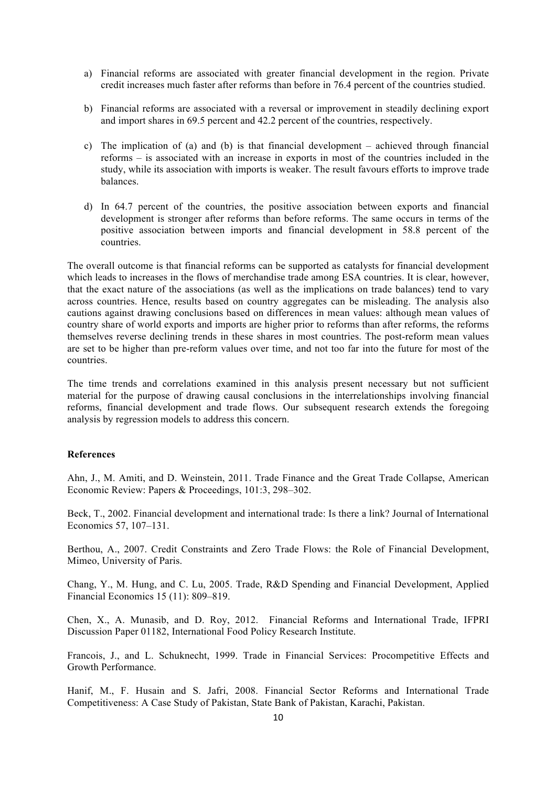- a) Financial reforms are associated with greater financial development in the region. Private credit increases much faster after reforms than before in 76.4 percent of the countries studied.
- b) Financial reforms are associated with a reversal or improvement in steadily declining export and import shares in 69.5 percent and 42.2 percent of the countries, respectively.
- c) The implication of (a) and (b) is that financial development achieved through financial reforms – is associated with an increase in exports in most of the countries included in the study, while its association with imports is weaker. The result favours efforts to improve trade balances.
- d) In 64.7 percent of the countries, the positive association between exports and financial development is stronger after reforms than before reforms. The same occurs in terms of the positive association between imports and financial development in 58.8 percent of the countries.

The overall outcome is that financial reforms can be supported as catalysts for financial development which leads to increases in the flows of merchandise trade among ESA countries. It is clear, however, that the exact nature of the associations (as well as the implications on trade balances) tend to vary across countries. Hence, results based on country aggregates can be misleading. The analysis also cautions against drawing conclusions based on differences in mean values: although mean values of country share of world exports and imports are higher prior to reforms than after reforms, the reforms themselves reverse declining trends in these shares in most countries. The post-reform mean values are set to be higher than pre-reform values over time, and not too far into the future for most of the countries.

The time trends and correlations examined in this analysis present necessary but not sufficient material for the purpose of drawing causal conclusions in the interrelationships involving financial reforms, financial development and trade flows. Our subsequent research extends the foregoing analysis by regression models to address this concern.

## **References**

Ahn, J., M. Amiti, and D. Weinstein, 2011. Trade Finance and the Great Trade Collapse, American Economic Review: Papers & Proceedings, 101:3, 298–302.

Beck, T., 2002. Financial development and international trade: Is there a link? Journal of International Economics 57, 107–131.

Berthou, A., 2007. Credit Constraints and Zero Trade Flows: the Role of Financial Development, Mimeo, University of Paris.

Chang, Y., M. Hung, and C. Lu, 2005. Trade, R&D Spending and Financial Development, Applied Financial Economics 15 (11): 809–819.

Chen, X., A. Munasib, and D. Roy, 2012. Financial Reforms and International Trade, IFPRI Discussion Paper 01182, International Food Policy Research Institute.

Francois, J., and L. Schuknecht, 1999. Trade in Financial Services: Procompetitive Effects and Growth Performance.

Hanif, M., F. Husain and S. Jafri, 2008. Financial Sector Reforms and International Trade Competitiveness: A Case Study of Pakistan, State Bank of Pakistan, Karachi, Pakistan.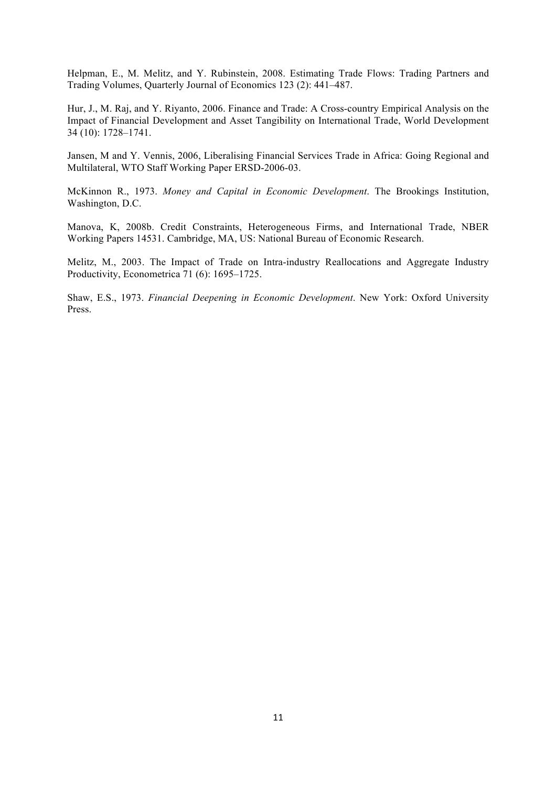Helpman, E., M. Melitz, and Y. Rubinstein, 2008. Estimating Trade Flows: Trading Partners and Trading Volumes, Quarterly Journal of Economics 123 (2): 441–487.

Hur, J., M. Raj, and Y. Riyanto, 2006. Finance and Trade: A Cross-country Empirical Analysis on the Impact of Financial Development and Asset Tangibility on International Trade, World Development 34 (10): 1728–1741.

Jansen, M and Y. Vennis, 2006, Liberalising Financial Services Trade in Africa: Going Regional and Multilateral, WTO Staff Working Paper ERSD-2006-03.

McKinnon R., 1973. *Money and Capital in Economic Development*. The Brookings Institution, Washington, D.C.

Manova, K, 2008b. Credit Constraints, Heterogeneous Firms, and International Trade, NBER Working Papers 14531. Cambridge, MA, US: National Bureau of Economic Research.

Melitz, M., 2003. The Impact of Trade on Intra-industry Reallocations and Aggregate Industry Productivity, Econometrica 71 (6): 1695–1725.

Shaw, E.S., 1973. *Financial Deepening in Economic Development*. New York: Oxford University Press.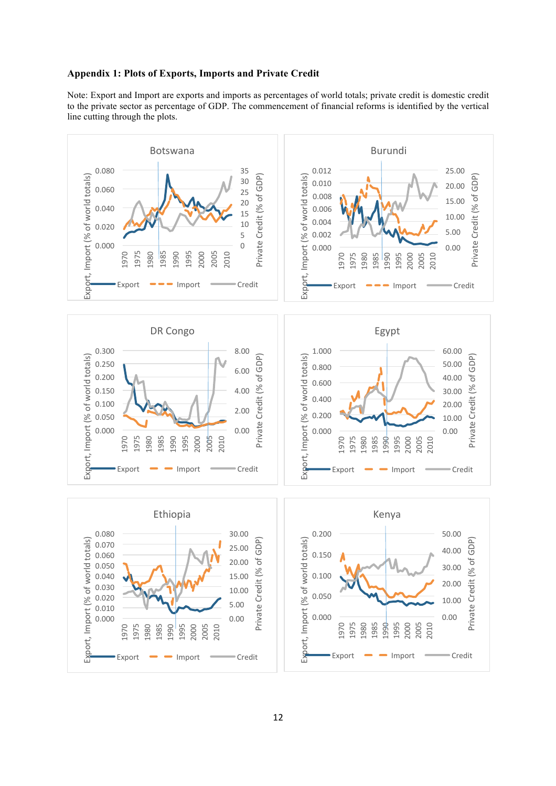#### **Appendix 1: Plots of Exports, Imports and Private Credit**

Note: Export and Import are exports and imports as percentages of world totals; private credit is domestic credit to the private sector as percentage of GDP. The commencement of financial reforms is identified by the vertical line cutting through the plots.

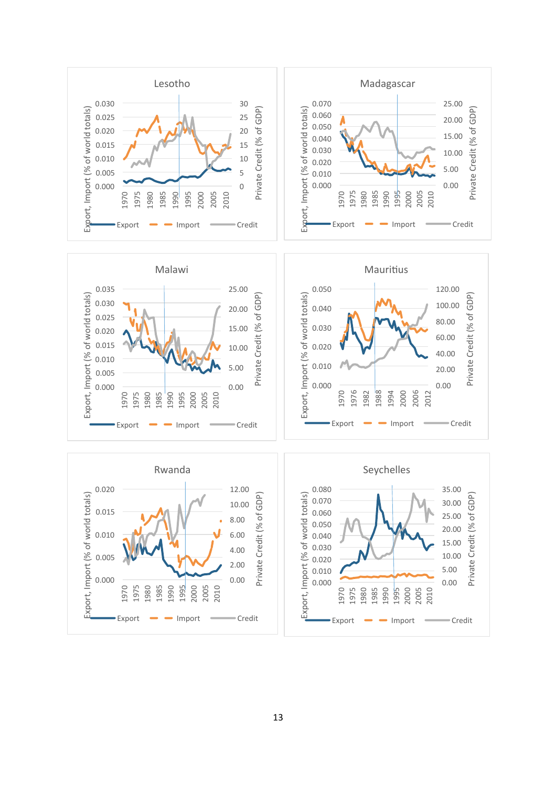